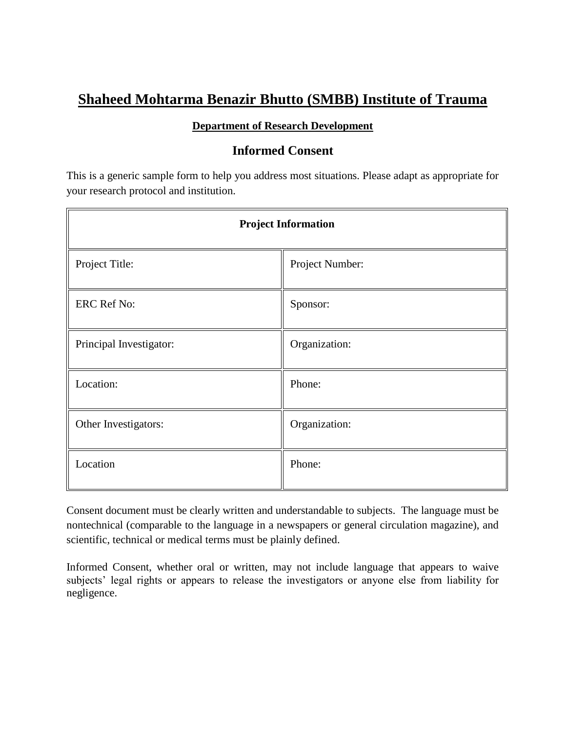# **Shaheed Mohtarma Benazir Bhutto (SMBB) Institute of Trauma**

# **Department of Research Development**

# **Informed Consent**

This is a generic sample form to help you address most situations. Please adapt as appropriate for your research protocol and institution.

| <b>Project Information</b> |                 |
|----------------------------|-----------------|
| Project Title:             | Project Number: |
| <b>ERC Ref No:</b>         | Sponsor:        |
| Principal Investigator:    | Organization:   |
| Location:                  | Phone:          |
| Other Investigators:       | Organization:   |
| Location                   | Phone:          |

Consent document must be clearly written and understandable to subjects. The language must be nontechnical (comparable to the language in a newspapers or general circulation magazine), and scientific, technical or medical terms must be plainly defined.

Informed Consent, whether oral or written, may not include language that appears to waive subjects' legal rights or appears to release the investigators or anyone else from liability for negligence.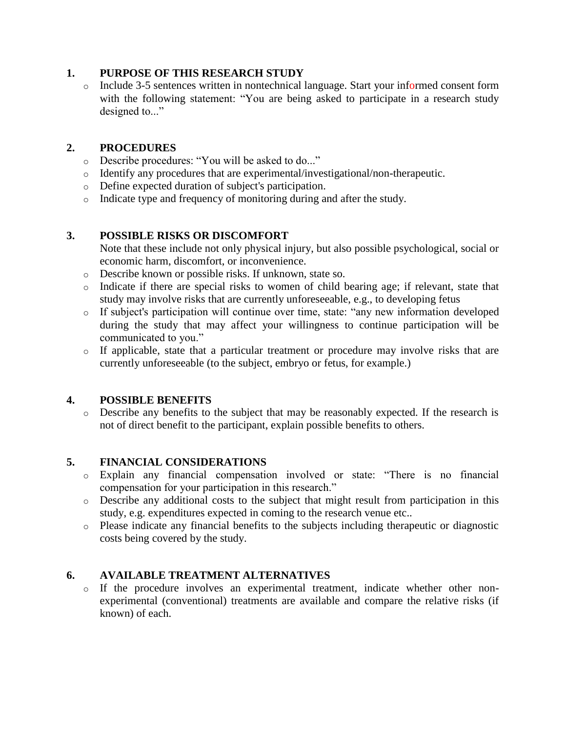## **1. PURPOSE OF THIS RESEARCH STUDY**

o Include 3-5 sentences written in nontechnical language. Start your informed consent form with the following statement: "You are being asked to participate in a research study designed to..."

# **2. PROCEDURES**

- o Describe procedures: "You will be asked to do..."
- o Identify any procedures that are experimental/investigational/non-therapeutic.
- o Define expected duration of subject's participation.
- o Indicate type and frequency of monitoring during and after the study.

# **3. POSSIBLE RISKS OR DISCOMFORT**

Note that these include not only physical injury, but also possible psychological, social or economic harm, discomfort, or inconvenience.

- o Describe known or possible risks. If unknown, state so.
- o Indicate if there are special risks to women of child bearing age; if relevant, state that study may involve risks that are currently unforeseeable, e.g., to developing fetus
- o If subject's participation will continue over time, state: "any new information developed during the study that may affect your willingness to continue participation will be communicated to you."
- o If applicable, state that a particular treatment or procedure may involve risks that are currently unforeseeable (to the subject, embryo or fetus, for example.)

## **4. POSSIBLE BENEFITS**

o Describe any benefits to the subject that may be reasonably expected. If the research is not of direct benefit to the participant, explain possible benefits to others.

## **5. FINANCIAL CONSIDERATIONS**

- o Explain any financial compensation involved or state: "There is no financial compensation for your participation in this research."
- o Describe any additional costs to the subject that might result from participation in this study, e.g. expenditures expected in coming to the research venue etc..
- o Please indicate any financial benefits to the subjects including therapeutic or diagnostic costs being covered by the study.

# **6. AVAILABLE TREATMENT ALTERNATIVES**

o If the procedure involves an experimental treatment, indicate whether other nonexperimental (conventional) treatments are available and compare the relative risks (if known) of each.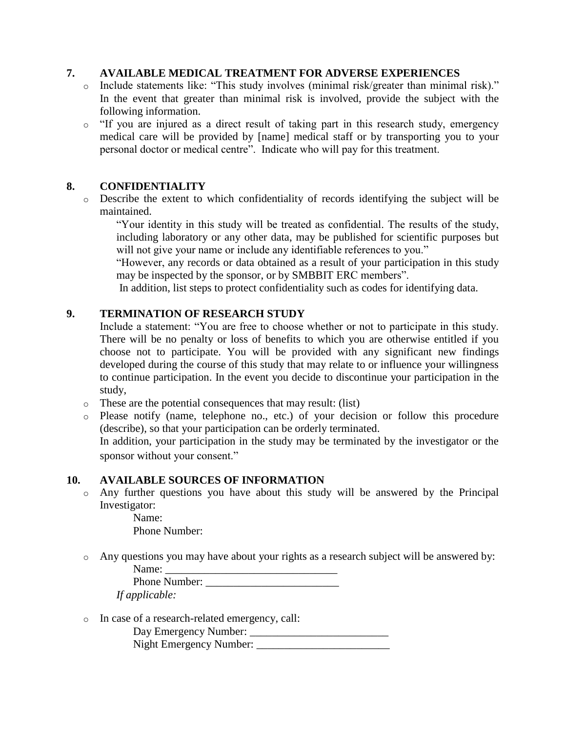#### **7. AVAILABLE MEDICAL TREATMENT FOR ADVERSE EXPERIENCES**

- o Include statements like: "This study involves (minimal risk/greater than minimal risk)." In the event that greater than minimal risk is involved, provide the subject with the following information.
- o "If you are injured as a direct result of taking part in this research study, emergency medical care will be provided by [name] medical staff or by transporting you to your personal doctor or medical centre". Indicate who will pay for this treatment.

#### **8. CONFIDENTIALITY**

o Describe the extent to which confidentiality of records identifying the subject will be maintained.

"Your identity in this study will be treated as confidential. The results of the study, including laboratory or any other data, may be published for scientific purposes but will not give your name or include any identifiable references to you."

"However, any records or data obtained as a result of your participation in this study may be inspected by the sponsor, or by SMBBIT ERC members".

In addition, list steps to protect confidentiality such as codes for identifying data.

#### **9. TERMINATION OF RESEARCH STUDY**

Include a statement: "You are free to choose whether or not to participate in this study. There will be no penalty or loss of benefits to which you are otherwise entitled if you choose not to participate. You will be provided with any significant new findings developed during the course of this study that may relate to or influence your willingness to continue participation. In the event you decide to discontinue your participation in the study,

- o These are the potential consequences that may result: (list)
- o Please notify (name, telephone no., etc.) of your decision or follow this procedure (describe), so that your participation can be orderly terminated.

In addition, your participation in the study may be terminated by the investigator or the sponsor without your consent."

#### **10. AVAILABLE SOURCES OF INFORMATION**

o Any further questions you have about this study will be answered by the Principal Investigator:

> Name: Phone Number:

o Any questions you may have about your rights as a research subject will be answered by: Name: \_\_\_\_\_\_\_\_\_\_\_\_\_\_\_\_\_\_\_\_\_\_\_\_\_\_\_\_\_\_\_

| T JUITIU.      |  |
|----------------|--|
| Phone Number:  |  |
| If applicable: |  |

o In case of a research-related emergency, call:

| Day Emergency Number:          |  |
|--------------------------------|--|
| <b>Night Emergency Number:</b> |  |